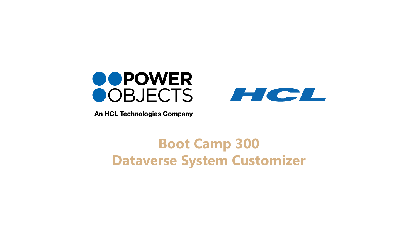

An HCL Technologies Company



# **Boot Camp 300 Dataverse System Customizer**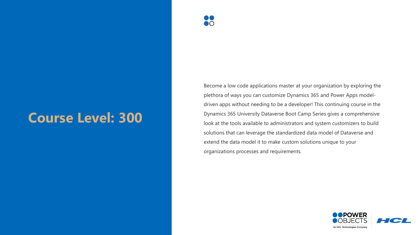# **Course Level: 300**



Become a low code applications master at your organization by exploring the plethora of ways you can customize Dynamics 365 and Power Apps modeldriven apps without needing to be a developer! This continuing course in the Dynamics 365 University Dataverse Boot Camp Series gives a comprehensive look at the tools available to administrators and system customizers to build solutions that can leverage the standardized data model of Dataverse and extend the data model it to make custom solutions unique to your organizations processes and requirements.

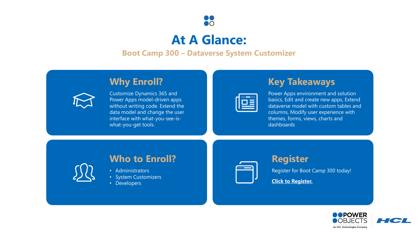

# **At A Glance:**

#### **Boot Camp 300 – Dataverse System Customizer**

### **Why Enroll?**



Customize Dynamics 365 and Power Apps model-driven apps without writing code. Extend the data model and change the user interface with what-you-see-iswhat-you-get tools.

# **Key Takeaways**

| $^{\circ}$<br>$\bullet$<br>$\sim$ |
|-----------------------------------|
| ____                              |
|                                   |
|                                   |

Power Apps environment and solution basics, Edit and create new apps, Extend dataverse model with custom tables and columns, Modify user experience with themes, forms, views, charts and dashboards

### **Who to Enroll?**

- Administrators
- System Customizers
- Developers

#### **Register**

Register for Boot Camp 300 today!

**[Click to Register.](https://education.powerobjects.com/search?q=boot+camp)**

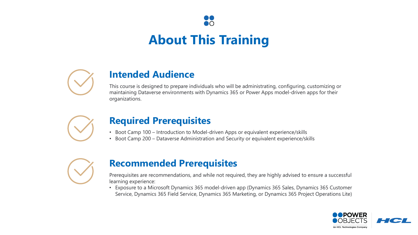# **About This Training**

 $\mathsf{D}\mathsf{O}$ 



# **Intended Audience**

This course is designed to prepare individuals who will be administrating, configuring, customizing or maintaining Dataverse environments with Dynamics 365 or Power Apps model-driven apps for their organizations.



# **Required Prerequisites**

- Boot Camp 100 Introduction to Model-driven Apps or equivalent experience/skills
- Boot Camp 200 Dataverse Administration and Security or equivalent experience/skills



# **Recommended Prerequisites**

Prerequisites are recommendations, and while not required, they are highly advised to ensure a successful learning experience:

• Exposure to a Microsoft Dynamics 365 model-driven app (Dynamics 365 Sales, Dynamics 365 Customer Service, Dynamics 365 Field Service, Dynamics 365 Marketing, or Dynamics 365 Project Operations Lite)

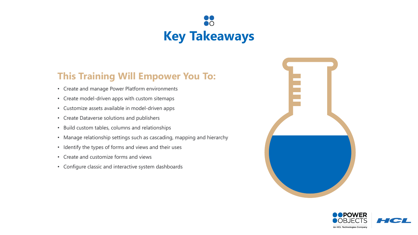

# **This Training Will Empower You To:**

- Create and manage Power Platform environments
- Create model-driven apps with custom sitemaps
- Customize assets available in model-driven apps
- Create Dataverse solutions and publishers
- Build custom tables, columns and relationships
- Manage relationship settings such as cascading, mapping and hierarchy
- Identify the types of forms and views and their uses
- Create and customize forms and views
- Configure classic and interactive system dashboards



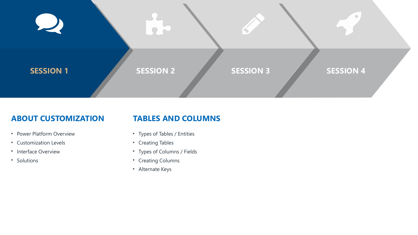

#### **ABOUT CUSTOMIZATION**

• Power Platform Overview

• Customization Levels

• Interface Overview

• Solutions

#### **TABLES AND COLUMNS**

- Types of Tables / Entities
	- Creating Tables
	- Types of Columns / Fields
	- Creating Columns
	- Alternate Keys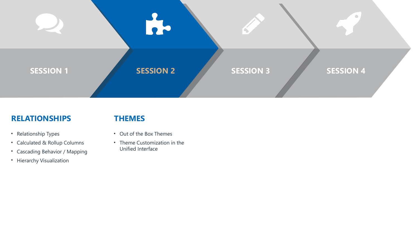

#### **RELATIONSHIPS**

#### **THEMES**

- Relationship Types
- Calculated & Rollup Columns
- Cascading Behavior / Mapping
- Hierarchy Visualization
- Out of the Box Themes
- Theme Customization in the Unified Interface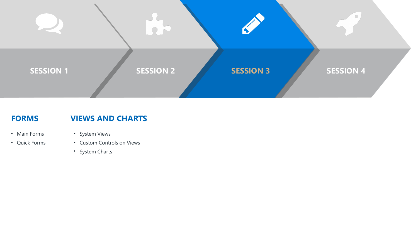

#### **FORMS**

#### **VIEWS AND CHARTS**

- Main Forms
- Quick Forms
- System Views
- Custom Controls on Views
- System Charts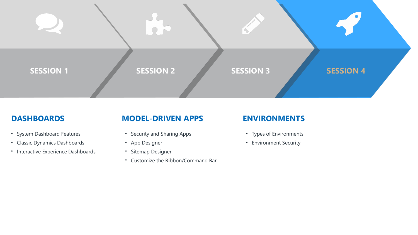

#### **DASHBOARDS**

- System Dashboard Features
- Classic Dynamics Dashboards
- Interactive Experience Dashboards

### **MODEL-DRIVEN APPS**

- Security and Sharing Apps
- App Designer
- Sitemap Designer
- Customize the Ribbon/Command Bar

#### **ENVIRONMENTS**

- Types of Environments
- Environment Security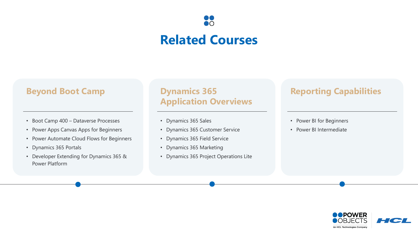# **Related Courses**

 $\bigcap$ 

### **Beyond Boot Camp**

- Boot Camp 400 Dataverse Processes
- Power Apps Canvas Apps for Beginners
- Power Automate Cloud Flows for Beginners
- Dynamics 365 Portals
- Developer Extending for Dynamics 365 & Power Platform

#### **Dynamics 365 Application Overviews**

- Dynamics 365 Sales
- Dynamics 365 Customer Service
- Dynamics 365 Field Service
- Dynamics 365 Marketing
- Dynamics 365 Project Operations Lite

### **Reporting Capabilities**

#### • Power BI for Beginners

• Power BI Intermediate